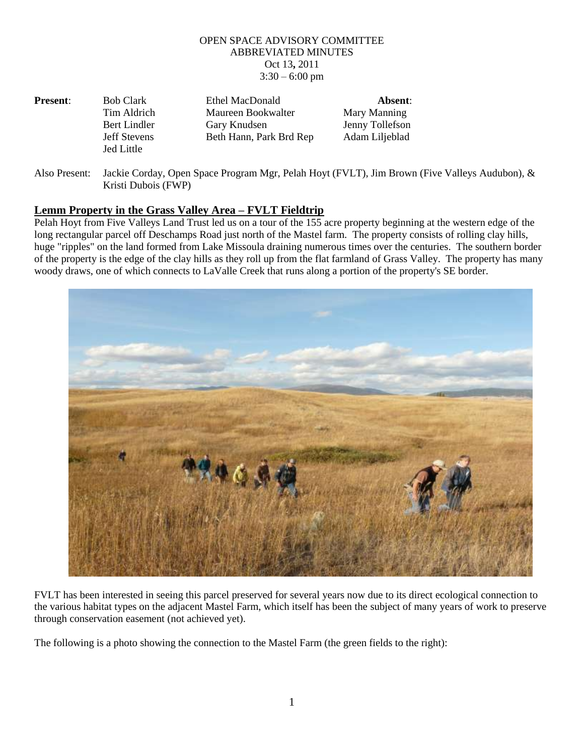## OPEN SPACE ADVISORY COMMITTEE ABBREVIATED MINUTES Oct 13**,** 2011  $3:30 - 6:00$  pm

| <b>Present:</b> | <b>Bob Clark</b>    | Ethel MacDonald         | Absent:         |
|-----------------|---------------------|-------------------------|-----------------|
|                 | Tim Aldrich         | Maureen Bookwalter      | Mary Manning    |
|                 | Bert Lindler        | Gary Knudsen            | Jenny Tollefson |
|                 | <b>Jeff Stevens</b> | Beth Hann, Park Brd Rep | Adam Liljeblad  |
|                 | Jed Little          |                         |                 |

Also Present: Jackie Corday, Open Space Program Mgr, Pelah Hoyt (FVLT), Jim Brown (Five Valleys Audubon), & Kristi Dubois (FWP)

## **Lemm Property in the Grass Valley Area – FVLT Fieldtrip**

Pelah Hoyt from Five Valleys Land Trust led us on a tour of the 155 acre property beginning at the western edge of the long rectangular parcel off Deschamps Road just north of the Mastel farm. The property consists of rolling clay hills, huge "ripples" on the land formed from Lake Missoula draining numerous times over the centuries. The southern border of the property is the edge of the clay hills as they roll up from the flat farmland of Grass Valley. The property has many woody draws, one of which connects to LaValle Creek that runs along a portion of the property's SE border.



FVLT has been interested in seeing this parcel preserved for several years now due to its direct ecological connection to the various habitat types on the adjacent Mastel Farm, which itself has been the subject of many years of work to preserve through conservation easement (not achieved yet).

The following is a photo showing the connection to the Mastel Farm (the green fields to the right):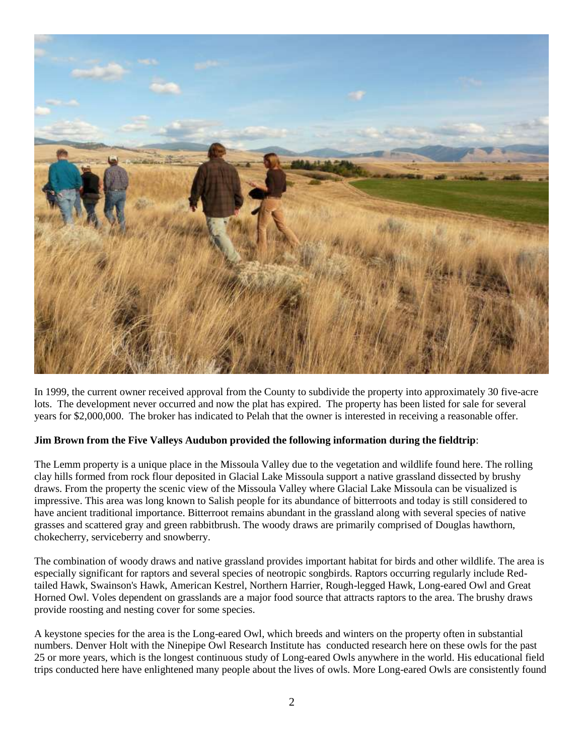

In 1999, the current owner received approval from the County to subdivide the property into approximately 30 five-acre lots. The development never occurred and now the plat has expired. The property has been listed for sale for several years for \$2,000,000. The broker has indicated to Pelah that the owner is interested in receiving a reasonable offer.

## **Jim Brown from the Five Valleys Audubon provided the following information during the fieldtrip**:

The Lemm property is a unique place in the Missoula Valley due to the vegetation and wildlife found here. The rolling clay hills formed from rock flour deposited in Glacial Lake Missoula support a native grassland dissected by brushy draws. From the property the scenic view of the Missoula Valley where Glacial Lake Missoula can be visualized is impressive. This area was long known to Salish people for its abundance of bitterroots and today is still considered to have ancient traditional importance. Bitterroot remains abundant in the grassland along with several species of native grasses and scattered gray and green rabbitbrush. The woody draws are primarily comprised of Douglas hawthorn, chokecherry, serviceberry and snowberry.

The combination of woody draws and native grassland provides important habitat for birds and other wildlife. The area is especially significant for raptors and several species of neotropic songbirds. Raptors occurring regularly include Redtailed Hawk, Swainson's Hawk, American Kestrel, Northern Harrier, Rough-legged Hawk, Long-eared Owl and Great Horned Owl. Voles dependent on grasslands are a major food source that attracts raptors to the area. The brushy draws provide roosting and nesting cover for some species.

A keystone species for the area is the Long-eared Owl, which breeds and winters on the property often in substantial numbers. Denver Holt with the Ninepipe Owl Research Institute has conducted research here on these owls for the past 25 or more years, which is the longest continuous study of Long-eared Owls anywhere in the world. His educational field trips conducted here have enlightened many people about the lives of owls. More Long-eared Owls are consistently found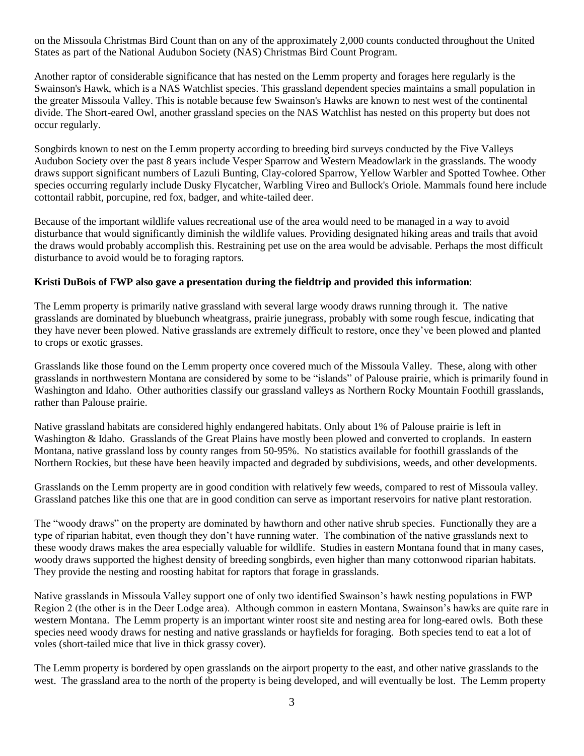on the Missoula Christmas Bird Count than on any of the approximately 2,000 counts conducted throughout the United States as part of the National Audubon Society (NAS) Christmas Bird Count Program.

Another raptor of considerable significance that has nested on the Lemm property and forages here regularly is the Swainson's Hawk, which is a NAS Watchlist species. This grassland dependent species maintains a small population in the greater Missoula Valley. This is notable because few Swainson's Hawks are known to nest west of the continental divide. The Short-eared Owl, another grassland species on the NAS Watchlist has nested on this property but does not occur regularly.

Songbirds known to nest on the Lemm property according to breeding bird surveys conducted by the Five Valleys Audubon Society over the past 8 years include Vesper Sparrow and Western Meadowlark in the grasslands. The woody draws support significant numbers of Lazuli Bunting, Clay-colored Sparrow, Yellow Warbler and Spotted Towhee. Other species occurring regularly include Dusky Flycatcher, Warbling Vireo and Bullock's Oriole. Mammals found here include cottontail rabbit, porcupine, red fox, badger, and white-tailed deer.

Because of the important wildlife values recreational use of the area would need to be managed in a way to avoid disturbance that would significantly diminish the wildlife values. Providing designated hiking areas and trails that avoid the draws would probably accomplish this. Restraining pet use on the area would be advisable. Perhaps the most difficult disturbance to avoid would be to foraging raptors.

## **Kristi DuBois of FWP also gave a presentation during the fieldtrip and provided this information**:

The Lemm property is primarily native grassland with several large woody draws running through it. The native grasslands are dominated by bluebunch wheatgrass, prairie junegrass, probably with some rough fescue, indicating that they have never been plowed. Native grasslands are extremely difficult to restore, once they've been plowed and planted to crops or exotic grasses.

Grasslands like those found on the Lemm property once covered much of the Missoula Valley. These, along with other grasslands in northwestern Montana are considered by some to be "islands" of Palouse prairie, which is primarily found in Washington and Idaho. Other authorities classify our grassland valleys as Northern Rocky Mountain Foothill grasslands, rather than Palouse prairie.

Native grassland habitats are considered highly endangered habitats. Only about 1% of Palouse prairie is left in Washington & Idaho. Grasslands of the Great Plains have mostly been plowed and converted to croplands. In eastern Montana, native grassland loss by county ranges from 50-95%. No statistics available for foothill grasslands of the Northern Rockies, but these have been heavily impacted and degraded by subdivisions, weeds, and other developments.

Grasslands on the Lemm property are in good condition with relatively few weeds, compared to rest of Missoula valley. Grassland patches like this one that are in good condition can serve as important reservoirs for native plant restoration.

The "woody draws" on the property are dominated by hawthorn and other native shrub species. Functionally they are a type of riparian habitat, even though they don't have running water. The combination of the native grasslands next to these woody draws makes the area especially valuable for wildlife. Studies in eastern Montana found that in many cases, woody draws supported the highest density of breeding songbirds, even higher than many cottonwood riparian habitats. They provide the nesting and roosting habitat for raptors that forage in grasslands.

Native grasslands in Missoula Valley support one of only two identified Swainson's hawk nesting populations in FWP Region 2 (the other is in the Deer Lodge area). Although common in eastern Montana, Swainson's hawks are quite rare in western Montana. The Lemm property is an important winter roost site and nesting area for long-eared owls. Both these species need woody draws for nesting and native grasslands or hayfields for foraging. Both species tend to eat a lot of voles (short-tailed mice that live in thick grassy cover).

The Lemm property is bordered by open grasslands on the airport property to the east, and other native grasslands to the west. The grassland area to the north of the property is being developed, and will eventually be lost. The Lemm property